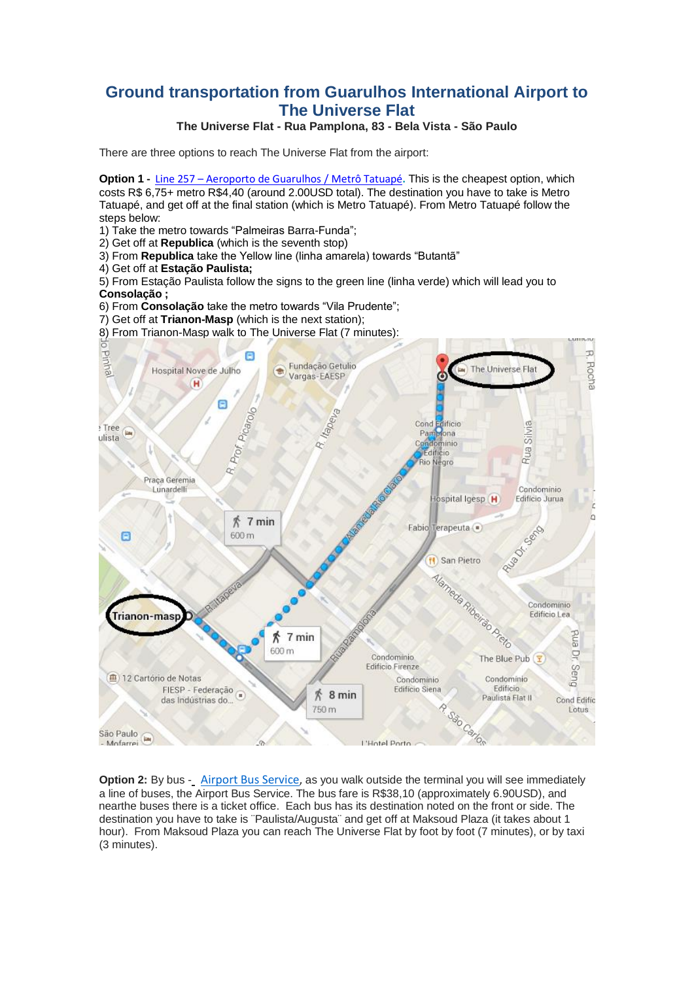## **Ground transportation from Guarulhos International Airport to The Universe Flat**

## **The Universe Flat - Rua Pamplona, 83 - Bela Vista - São Paulo**

There are three options to reach The Universe Flat from the airport:

**Option 1 -** Line 257 – [Aeroporto](http://www.viajenaviagem.com/2011/01/a-boia-em-ponte-aerea-para-duros/) de Guarulhos / Metrô Tatuapé**.** This is the cheapest option, which costs R\$ 6,75+ metro R\$4,40 (around 2.00USD total). The destination you have to take is Metro Tatuapé, and get off at the final station (which is Metro Tatuapé). From Metro Tatuapé follow the steps below:

- 1) Take the metro towards "Palmeiras Barra-Funda";
- 2) Get off at **Republica** (which is the seventh stop)
- 3) From **Republica** take the Yellow line (linha amarela) towards "Butantã"
- 4) Get off at **Estação Paulista;**

5) From Estação Paulista follow the signs to the green line (linha verde) which will lead you to **Consolação ;**

- 6) From **Consolação** take the metro towards "Vila Prudente";
- 7) Get off at **Trianon-Masp** (which is the next station);
- 8) From Trianon-Masp walk to The Universe Flat (7 minutes):



 hour). From Maksoud Plaza you can reach The Universe Flat by foot by foot (7 minutes), or by taxi **Option 2:** By bus - [Airport Bus Service,](http://www.airportbusservice.com.br/) as you walk outside the terminal you will see immediately a line of buses, the Airport Bus Service. The bus fare is R\$38,10 (approximately 6.90USD), and nearthe buses there is a ticket office. Each bus has its destination noted on the front or side. The destination you have to take is ¨Paulista/Augusta¨ and get off at Maksoud Plaza (it takes about 1 (3 minutes).